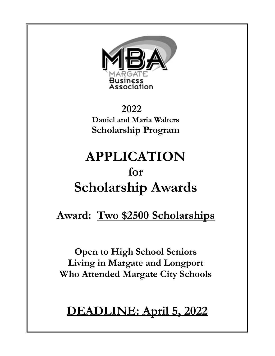

 **2022 Daniel and Maria Walters Scholarship Program**

# **APPLICATION for Scholarship Awards**

### **Award: Two \$2500 Scholarships**

**Open to High School Seniors Living in Margate and Longport Who Attended Margate City Schools**

## **DEADLINE: April 5, 2022**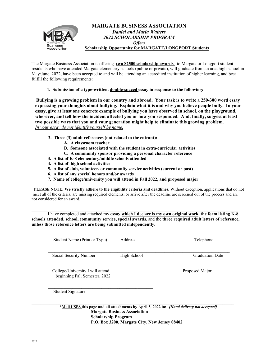

The Margate Business Association is offering **two \$2500 scholarship awards** to Margate or Longport student residents who have attended Margate elementary schools (public or private), will graduate from an area high school in May/June, 2022, have been accepted to and will be attending an accredited institution of higher learning, and best fulfill the following requirements:

 **1. Submission of a type-written, double-spaced essay in response to the following:** 

 **Bullying is a growing problem in our country and abroad. Your task is to write a 250-300 word essay expressing your thoughts about bullying. Explain what it is and why you believe people bully. In your essay, give at least one concrete example of bullying you have observed in school, on the playground, wherever, and tell how the incident affected you or how you responded. And, finally, suggest at least two possible ways that you and your generation might help to eliminate this growing problem.**  *In your essay do not identify yourself by name.* 

- **2. Three (3) adult references (not related to the entrant):**
	- **A. A classroom teacher**
	- **B. Someone associated with the student in extra-curricular activities**
	- **C. A community sponsor providing a personal character reference**
- **3. A list of K-8 elementary/middle schools attended**
- **4. A list of high school activities**
- **5. A list of club, volunteer, or community service activities (current or past)**
- **6. A list of any special honors and/or awards**
- **7. Name of college/university you will attend in Fall 2022, and proposed major**

**PLEASE NOTE: We strictly adhere to the eligibility criteria and deadlines.** Without exception, applications that do not meet all of the criteria, are missing required elements, or arrive after the deadline are screened out of the process and are not considered for an award.

I have completed and attached my **essay which I declare is my own original work, the form listing K-8 schools attended, school, community service, special awards,** and the **three required adult letters of reference, unless those reference letters are being submitted independently.** 

 $\mathcal{L}_\mathcal{L} = \{ \mathcal{L}_\mathcal{L} = \{ \mathcal{L}_\mathcal{L} = \{ \mathcal{L}_\mathcal{L} = \{ \mathcal{L}_\mathcal{L} = \{ \mathcal{L}_\mathcal{L} = \{ \mathcal{L}_\mathcal{L} = \{ \mathcal{L}_\mathcal{L} = \{ \mathcal{L}_\mathcal{L} = \{ \mathcal{L}_\mathcal{L} = \{ \mathcal{L}_\mathcal{L} = \{ \mathcal{L}_\mathcal{L} = \{ \mathcal{L}_\mathcal{L} = \{ \mathcal{L}_\mathcal{L} = \{ \mathcal{L}_\mathcal{$ 

| Student Name (Print or Type)     | Address     | Telephone              |
|----------------------------------|-------------|------------------------|
|                                  |             |                        |
|                                  |             |                        |
| Social Security Number           | High School | <b>Graduation Date</b> |
|                                  |             |                        |
|                                  |             |                        |
| College/University I will attend |             | Proposed Major         |
| beginning Fall Semester, 2022    |             |                        |
|                                  |             |                        |
|                                  |             |                        |
| Student Signature                |             |                        |
|                                  |             |                        |

 **\*Mail USPS this page and all attachments by April 5, 2022 to:** *[Hand delivery not accepted]*  **Margate Business Association Scholarship Program P.O. Box 3200, Margate City, New Jersey 08402**

 $\mathcal{L}_\mathcal{L} = \{ \mathcal{L}_\mathcal{L} = \{ \mathcal{L}_\mathcal{L} = \{ \mathcal{L}_\mathcal{L} = \{ \mathcal{L}_\mathcal{L} = \{ \mathcal{L}_\mathcal{L} = \{ \mathcal{L}_\mathcal{L} = \{ \mathcal{L}_\mathcal{L} = \{ \mathcal{L}_\mathcal{L} = \{ \mathcal{L}_\mathcal{L} = \{ \mathcal{L}_\mathcal{L} = \{ \mathcal{L}_\mathcal{L} = \{ \mathcal{L}_\mathcal{L} = \{ \mathcal{L}_\mathcal{L} = \{ \mathcal{L}_\mathcal{$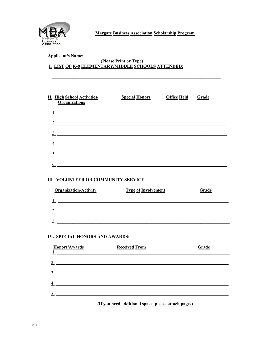

**Margate Business Association Scholarship Program** 

| Applicant's Name:                                                                              | (Please Print or Type)<br>I. LIST OF K-8 ELEMENTARY/MIDDLE SCHOOLS ATTENDED: | <u> 1989 - Johann Stein, mars an deus Amerikaansk kommunister (</u> |              |
|------------------------------------------------------------------------------------------------|------------------------------------------------------------------------------|---------------------------------------------------------------------|--------------|
| <b>II. High School Activities/</b><br><b>Organizations</b>                                     | <b>Special Honors Office Held</b>                                            |                                                                     | <b>Grade</b> |
|                                                                                                | 2.<br>$\frac{3}{2}$                                                          |                                                                     |              |
|                                                                                                | $\frac{4}{1}$<br>$\frac{5}{2}$                                               |                                                                     |              |
| $\underline{6.}$<br><b>III VOLUNTEER OR COMMUNITY SERVICE:</b><br><b>Organization/Activity</b> | <b>Type of Involvement</b>                                                   |                                                                     | Grade        |
|                                                                                                | $\frac{2}{2}$                                                                |                                                                     |              |
| $\frac{3}{2}$<br><b>IV. SPECIAL HONORS AND AWARDS:</b>                                         |                                                                              |                                                                     |              |
| Honors/Awards<br>2.                                                                            | <b>Received From</b>                                                         |                                                                     | Grade        |
| $\underline{3}$ .<br>4.                                                                        |                                                                              |                                                                     |              |

÷

(If you need additional space, please attach pages)

 $\frac{5}{2}$